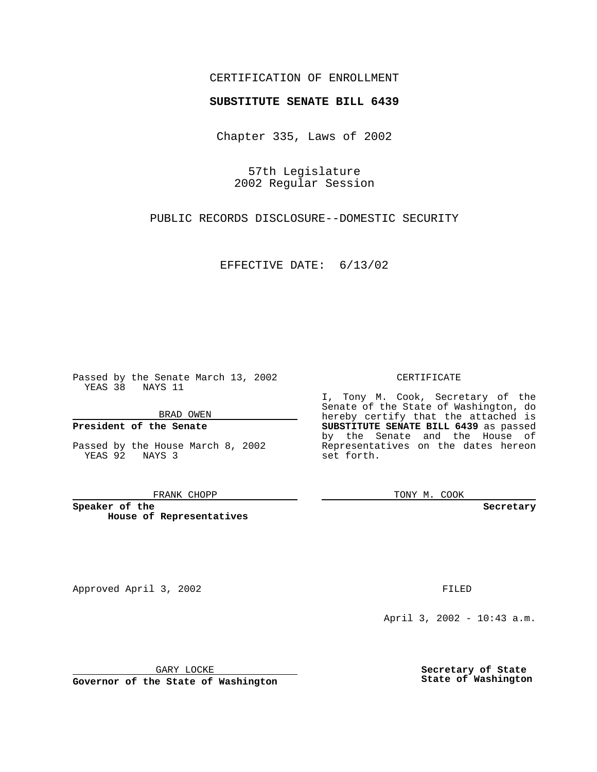## CERTIFICATION OF ENROLLMENT

# **SUBSTITUTE SENATE BILL 6439**

Chapter 335, Laws of 2002

57th Legislature 2002 Regular Session

PUBLIC RECORDS DISCLOSURE--DOMESTIC SECURITY

EFFECTIVE DATE: 6/13/02

Passed by the Senate March 13, 2002 YEAS 38 NAYS 11

BRAD OWEN

### **President of the Senate**

Passed by the House March 8, 2002 YEAS 92 NAYS 3

#### FRANK CHOPP

**Speaker of the House of Representatives**

April 3, 2002 - 10:43 a.m.

GARY LOCKE

**Governor of the State of Washington**

**Secretary of State State of Washington**

### CERTIFICATE

I, Tony M. Cook, Secretary of the Senate of the State of Washington, do hereby certify that the attached is **SUBSTITUTE SENATE BILL 6439** as passed by the Senate and the House of Representatives on the dates hereon set forth.

TONY M. COOK

**Secretary**

Approved April 3, 2002 **FILED**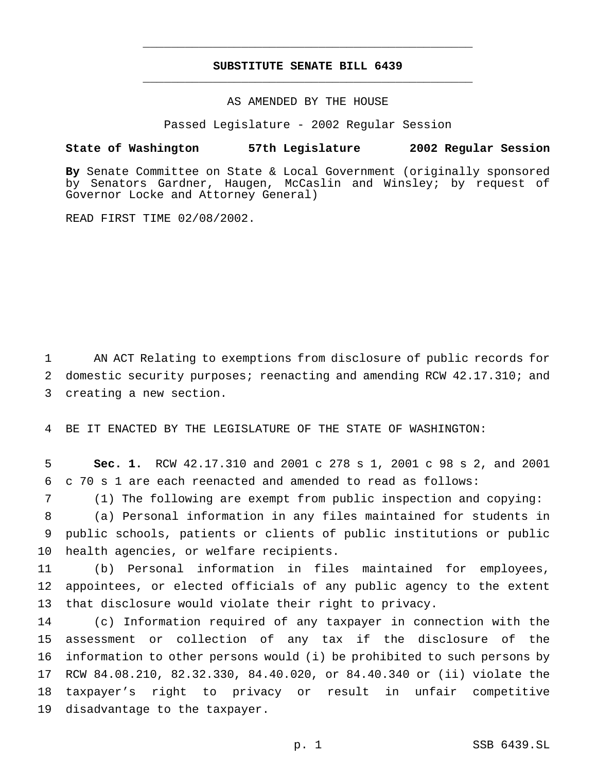# **SUBSTITUTE SENATE BILL 6439** \_\_\_\_\_\_\_\_\_\_\_\_\_\_\_\_\_\_\_\_\_\_\_\_\_\_\_\_\_\_\_\_\_\_\_\_\_\_\_\_\_\_\_\_\_\_\_

\_\_\_\_\_\_\_\_\_\_\_\_\_\_\_\_\_\_\_\_\_\_\_\_\_\_\_\_\_\_\_\_\_\_\_\_\_\_\_\_\_\_\_\_\_\_\_

### AS AMENDED BY THE HOUSE

Passed Legislature - 2002 Regular Session

### **State of Washington 57th Legislature 2002 Regular Session**

**By** Senate Committee on State & Local Government (originally sponsored by Senators Gardner, Haugen, McCaslin and Winsley; by request of Governor Locke and Attorney General)

READ FIRST TIME 02/08/2002.

 AN ACT Relating to exemptions from disclosure of public records for domestic security purposes; reenacting and amending RCW 42.17.310; and creating a new section.

BE IT ENACTED BY THE LEGISLATURE OF THE STATE OF WASHINGTON:

 **Sec. 1.** RCW 42.17.310 and 2001 c 278 s 1, 2001 c 98 s 2, and 2001 c 70 s 1 are each reenacted and amended to read as follows:

(1) The following are exempt from public inspection and copying:

 (a) Personal information in any files maintained for students in public schools, patients or clients of public institutions or public health agencies, or welfare recipients.

 (b) Personal information in files maintained for employees, appointees, or elected officials of any public agency to the extent that disclosure would violate their right to privacy.

 (c) Information required of any taxpayer in connection with the assessment or collection of any tax if the disclosure of the information to other persons would (i) be prohibited to such persons by RCW 84.08.210, 82.32.330, 84.40.020, or 84.40.340 or (ii) violate the taxpayer's right to privacy or result in unfair competitive disadvantage to the taxpayer.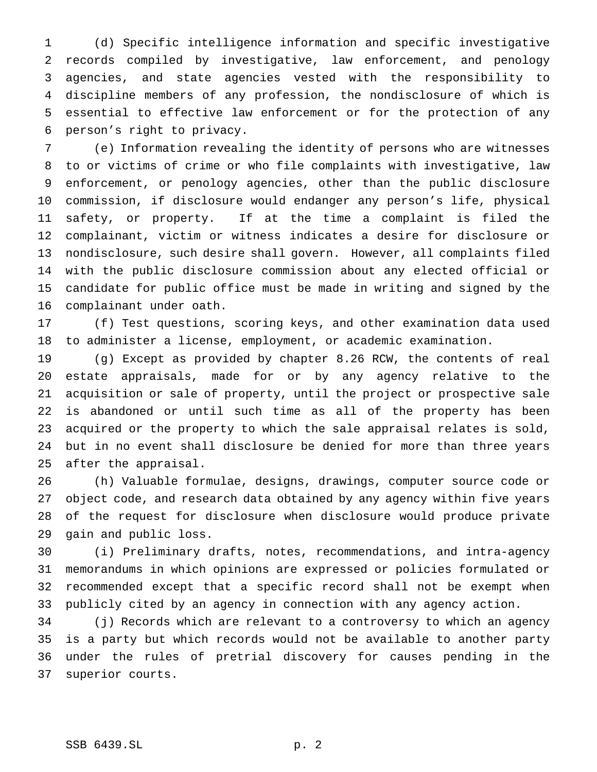(d) Specific intelligence information and specific investigative records compiled by investigative, law enforcement, and penology agencies, and state agencies vested with the responsibility to discipline members of any profession, the nondisclosure of which is essential to effective law enforcement or for the protection of any person's right to privacy.

 (e) Information revealing the identity of persons who are witnesses to or victims of crime or who file complaints with investigative, law enforcement, or penology agencies, other than the public disclosure commission, if disclosure would endanger any person's life, physical safety, or property. If at the time a complaint is filed the complainant, victim or witness indicates a desire for disclosure or nondisclosure, such desire shall govern. However, all complaints filed with the public disclosure commission about any elected official or candidate for public office must be made in writing and signed by the complainant under oath.

 (f) Test questions, scoring keys, and other examination data used to administer a license, employment, or academic examination.

 (g) Except as provided by chapter 8.26 RCW, the contents of real estate appraisals, made for or by any agency relative to the acquisition or sale of property, until the project or prospective sale is abandoned or until such time as all of the property has been acquired or the property to which the sale appraisal relates is sold, but in no event shall disclosure be denied for more than three years after the appraisal.

 (h) Valuable formulae, designs, drawings, computer source code or object code, and research data obtained by any agency within five years of the request for disclosure when disclosure would produce private gain and public loss.

 (i) Preliminary drafts, notes, recommendations, and intra-agency memorandums in which opinions are expressed or policies formulated or recommended except that a specific record shall not be exempt when publicly cited by an agency in connection with any agency action.

 (j) Records which are relevant to a controversy to which an agency is a party but which records would not be available to another party under the rules of pretrial discovery for causes pending in the superior courts.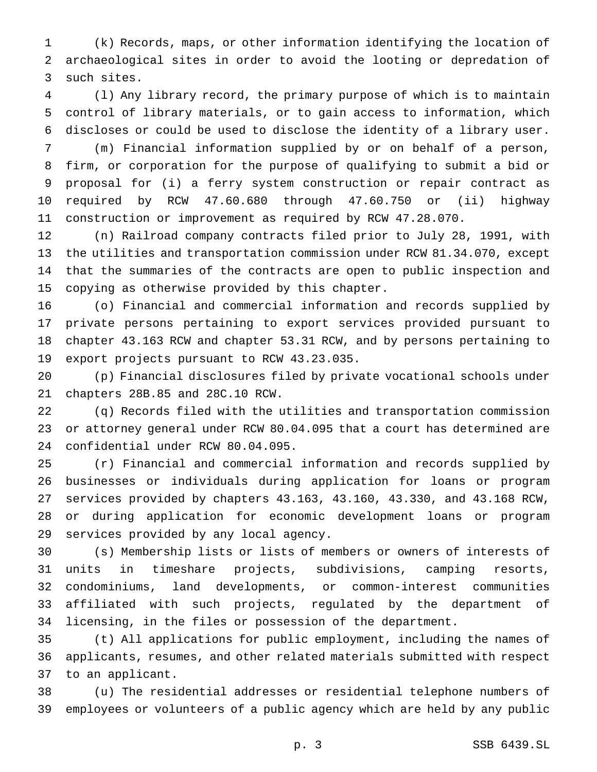(k) Records, maps, or other information identifying the location of archaeological sites in order to avoid the looting or depredation of such sites.

 (l) Any library record, the primary purpose of which is to maintain control of library materials, or to gain access to information, which discloses or could be used to disclose the identity of a library user.

 (m) Financial information supplied by or on behalf of a person, firm, or corporation for the purpose of qualifying to submit a bid or proposal for (i) a ferry system construction or repair contract as required by RCW 47.60.680 through 47.60.750 or (ii) highway construction or improvement as required by RCW 47.28.070.

 (n) Railroad company contracts filed prior to July 28, 1991, with the utilities and transportation commission under RCW 81.34.070, except that the summaries of the contracts are open to public inspection and copying as otherwise provided by this chapter.

 (o) Financial and commercial information and records supplied by private persons pertaining to export services provided pursuant to chapter 43.163 RCW and chapter 53.31 RCW, and by persons pertaining to export projects pursuant to RCW 43.23.035.

 (p) Financial disclosures filed by private vocational schools under chapters 28B.85 and 28C.10 RCW.

 (q) Records filed with the utilities and transportation commission or attorney general under RCW 80.04.095 that a court has determined are confidential under RCW 80.04.095.

 (r) Financial and commercial information and records supplied by businesses or individuals during application for loans or program services provided by chapters 43.163, 43.160, 43.330, and 43.168 RCW, or during application for economic development loans or program services provided by any local agency.

 (s) Membership lists or lists of members or owners of interests of units in timeshare projects, subdivisions, camping resorts, condominiums, land developments, or common-interest communities affiliated with such projects, regulated by the department of licensing, in the files or possession of the department.

 (t) All applications for public employment, including the names of applicants, resumes, and other related materials submitted with respect to an applicant.

 (u) The residential addresses or residential telephone numbers of employees or volunteers of a public agency which are held by any public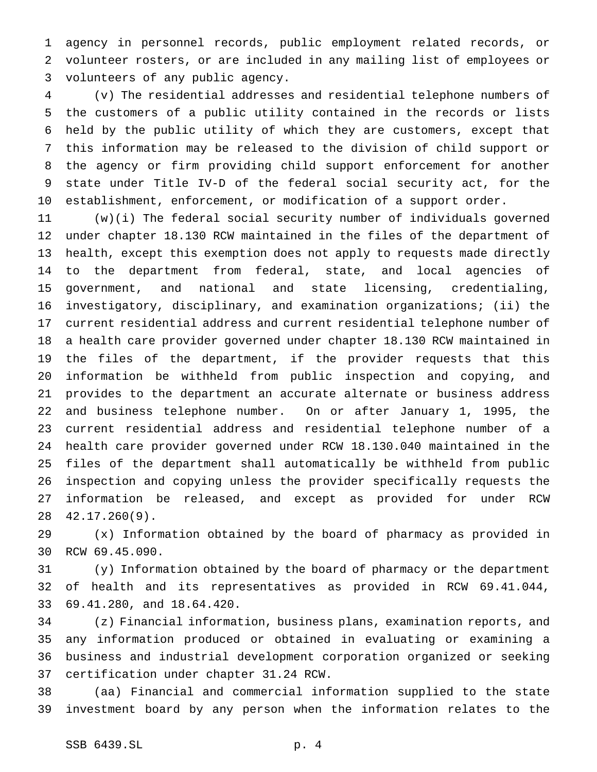agency in personnel records, public employment related records, or volunteer rosters, or are included in any mailing list of employees or volunteers of any public agency.

 (v) The residential addresses and residential telephone numbers of the customers of a public utility contained in the records or lists held by the public utility of which they are customers, except that this information may be released to the division of child support or the agency or firm providing child support enforcement for another state under Title IV-D of the federal social security act, for the establishment, enforcement, or modification of a support order.

 (w)(i) The federal social security number of individuals governed under chapter 18.130 RCW maintained in the files of the department of health, except this exemption does not apply to requests made directly to the department from federal, state, and local agencies of government, and national and state licensing, credentialing, investigatory, disciplinary, and examination organizations; (ii) the current residential address and current residential telephone number of a health care provider governed under chapter 18.130 RCW maintained in the files of the department, if the provider requests that this information be withheld from public inspection and copying, and provides to the department an accurate alternate or business address and business telephone number. On or after January 1, 1995, the current residential address and residential telephone number of a health care provider governed under RCW 18.130.040 maintained in the files of the department shall automatically be withheld from public inspection and copying unless the provider specifically requests the information be released, and except as provided for under RCW 42.17.260(9).

 (x) Information obtained by the board of pharmacy as provided in RCW 69.45.090.

 (y) Information obtained by the board of pharmacy or the department of health and its representatives as provided in RCW 69.41.044, 69.41.280, and 18.64.420.

 (z) Financial information, business plans, examination reports, and any information produced or obtained in evaluating or examining a business and industrial development corporation organized or seeking certification under chapter 31.24 RCW.

 (aa) Financial and commercial information supplied to the state investment board by any person when the information relates to the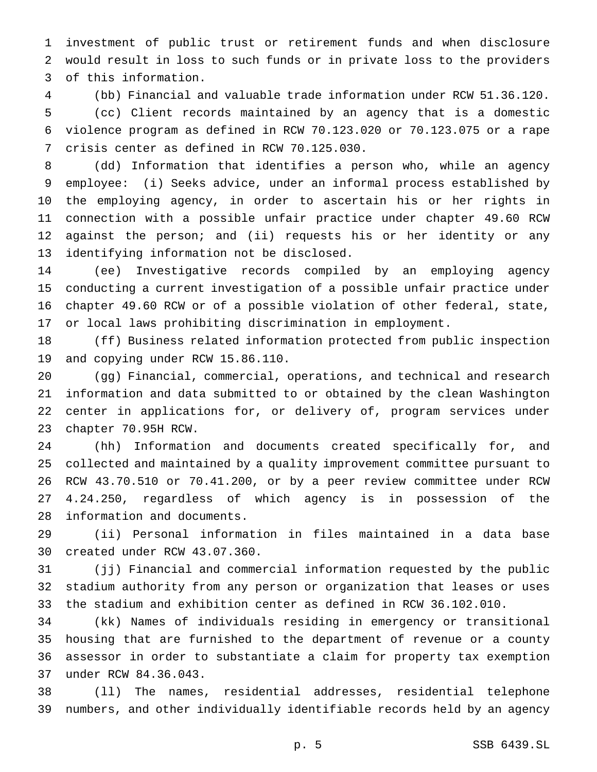investment of public trust or retirement funds and when disclosure would result in loss to such funds or in private loss to the providers of this information.

 (bb) Financial and valuable trade information under RCW 51.36.120. (cc) Client records maintained by an agency that is a domestic violence program as defined in RCW 70.123.020 or 70.123.075 or a rape crisis center as defined in RCW 70.125.030.

 (dd) Information that identifies a person who, while an agency employee: (i) Seeks advice, under an informal process established by the employing agency, in order to ascertain his or her rights in connection with a possible unfair practice under chapter 49.60 RCW against the person; and (ii) requests his or her identity or any identifying information not be disclosed.

 (ee) Investigative records compiled by an employing agency conducting a current investigation of a possible unfair practice under chapter 49.60 RCW or of a possible violation of other federal, state, or local laws prohibiting discrimination in employment.

 (ff) Business related information protected from public inspection and copying under RCW 15.86.110.

 (gg) Financial, commercial, operations, and technical and research information and data submitted to or obtained by the clean Washington center in applications for, or delivery of, program services under chapter 70.95H RCW.

 (hh) Information and documents created specifically for, and collected and maintained by a quality improvement committee pursuant to RCW 43.70.510 or 70.41.200, or by a peer review committee under RCW 4.24.250, regardless of which agency is in possession of the information and documents.

 (ii) Personal information in files maintained in a data base created under RCW 43.07.360.

 (jj) Financial and commercial information requested by the public stadium authority from any person or organization that leases or uses the stadium and exhibition center as defined in RCW 36.102.010.

 (kk) Names of individuals residing in emergency or transitional housing that are furnished to the department of revenue or a county assessor in order to substantiate a claim for property tax exemption under RCW 84.36.043.

 (ll) The names, residential addresses, residential telephone numbers, and other individually identifiable records held by an agency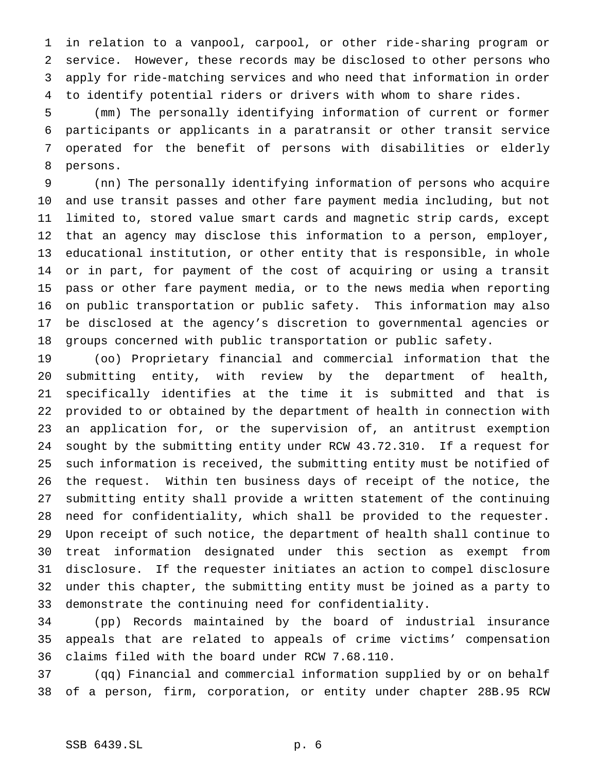in relation to a vanpool, carpool, or other ride-sharing program or service. However, these records may be disclosed to other persons who apply for ride-matching services and who need that information in order to identify potential riders or drivers with whom to share rides.

 (mm) The personally identifying information of current or former participants or applicants in a paratransit or other transit service operated for the benefit of persons with disabilities or elderly persons.

 (nn) The personally identifying information of persons who acquire and use transit passes and other fare payment media including, but not limited to, stored value smart cards and magnetic strip cards, except that an agency may disclose this information to a person, employer, educational institution, or other entity that is responsible, in whole or in part, for payment of the cost of acquiring or using a transit pass or other fare payment media, or to the news media when reporting on public transportation or public safety. This information may also be disclosed at the agency's discretion to governmental agencies or groups concerned with public transportation or public safety.

 (oo) Proprietary financial and commercial information that the submitting entity, with review by the department of health, specifically identifies at the time it is submitted and that is provided to or obtained by the department of health in connection with an application for, or the supervision of, an antitrust exemption sought by the submitting entity under RCW 43.72.310. If a request for such information is received, the submitting entity must be notified of the request. Within ten business days of receipt of the notice, the submitting entity shall provide a written statement of the continuing need for confidentiality, which shall be provided to the requester. Upon receipt of such notice, the department of health shall continue to treat information designated under this section as exempt from disclosure. If the requester initiates an action to compel disclosure under this chapter, the submitting entity must be joined as a party to demonstrate the continuing need for confidentiality.

 (pp) Records maintained by the board of industrial insurance appeals that are related to appeals of crime victims' compensation claims filed with the board under RCW 7.68.110.

 (qq) Financial and commercial information supplied by or on behalf of a person, firm, corporation, or entity under chapter 28B.95 RCW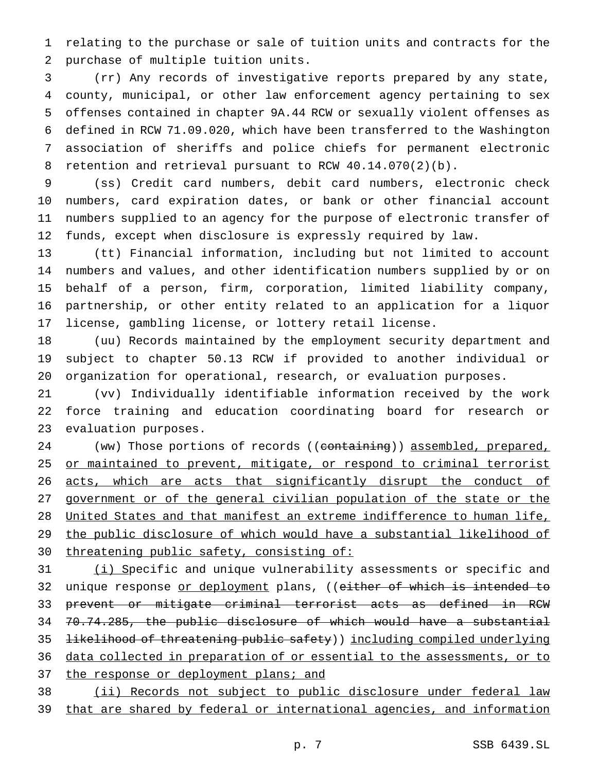relating to the purchase or sale of tuition units and contracts for the purchase of multiple tuition units.

 (rr) Any records of investigative reports prepared by any state, county, municipal, or other law enforcement agency pertaining to sex offenses contained in chapter 9A.44 RCW or sexually violent offenses as defined in RCW 71.09.020, which have been transferred to the Washington association of sheriffs and police chiefs for permanent electronic retention and retrieval pursuant to RCW 40.14.070(2)(b).

 (ss) Credit card numbers, debit card numbers, electronic check numbers, card expiration dates, or bank or other financial account numbers supplied to an agency for the purpose of electronic transfer of funds, except when disclosure is expressly required by law.

 (tt) Financial information, including but not limited to account numbers and values, and other identification numbers supplied by or on behalf of a person, firm, corporation, limited liability company, partnership, or other entity related to an application for a liquor license, gambling license, or lottery retail license.

 (uu) Records maintained by the employment security department and subject to chapter 50.13 RCW if provided to another individual or organization for operational, research, or evaluation purposes.

 (vv) Individually identifiable information received by the work force training and education coordinating board for research or evaluation purposes.

24 (ww) Those portions of records ((containing)) assembled, prepared, 25 or maintained to prevent, mitigate, or respond to criminal terrorist 26 acts, which are acts that significantly disrupt the conduct of government or of the general civilian population of the state or the United States and that manifest an extreme indifference to human life, the public disclosure of which would have a substantial likelihood of 30 threatening public safety, consisting of:

31 (i) Specific and unique vulnerability assessments or specific and 32 unique response <u>or deployment</u> plans, ((<del>either of which is intended to</del> prevent or mitigate criminal terrorist acts as defined in RCW 70.74.285, the public disclosure of which would have a substantial **likelihood of threatening public safety**) ) including compiled underlying data collected in preparation of or essential to the assessments, or to 37 the response or deployment plans; and (ii) Records not subject to public disclosure under federal law

39 that are shared by federal or international agencies, and information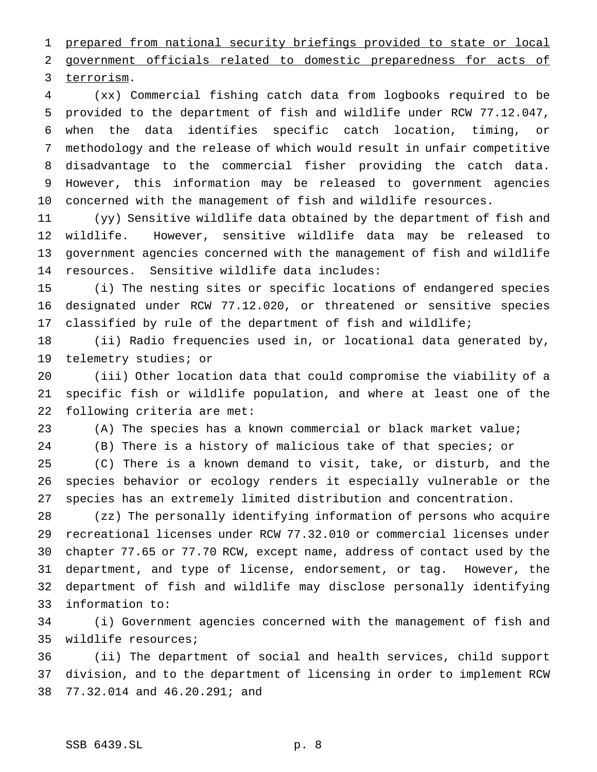prepared from national security briefings provided to state or local

government officials related to domestic preparedness for acts of

terrorism.

 (xx) Commercial fishing catch data from logbooks required to be provided to the department of fish and wildlife under RCW 77.12.047, when the data identifies specific catch location, timing, or methodology and the release of which would result in unfair competitive disadvantage to the commercial fisher providing the catch data. However, this information may be released to government agencies concerned with the management of fish and wildlife resources.

 (yy) Sensitive wildlife data obtained by the department of fish and wildlife. However, sensitive wildlife data may be released to government agencies concerned with the management of fish and wildlife resources. Sensitive wildlife data includes:

 (i) The nesting sites or specific locations of endangered species designated under RCW 77.12.020, or threatened or sensitive species classified by rule of the department of fish and wildlife;

 (ii) Radio frequencies used in, or locational data generated by, telemetry studies; or

 (iii) Other location data that could compromise the viability of a specific fish or wildlife population, and where at least one of the following criteria are met:

(A) The species has a known commercial or black market value;

(B) There is a history of malicious take of that species; or

 (C) There is a known demand to visit, take, or disturb, and the species behavior or ecology renders it especially vulnerable or the species has an extremely limited distribution and concentration.

 (zz) The personally identifying information of persons who acquire recreational licenses under RCW 77.32.010 or commercial licenses under chapter 77.65 or 77.70 RCW, except name, address of contact used by the department, and type of license, endorsement, or tag. However, the department of fish and wildlife may disclose personally identifying information to:

 (i) Government agencies concerned with the management of fish and wildlife resources;

 (ii) The department of social and health services, child support division, and to the department of licensing in order to implement RCW 77.32.014 and 46.20.291; and